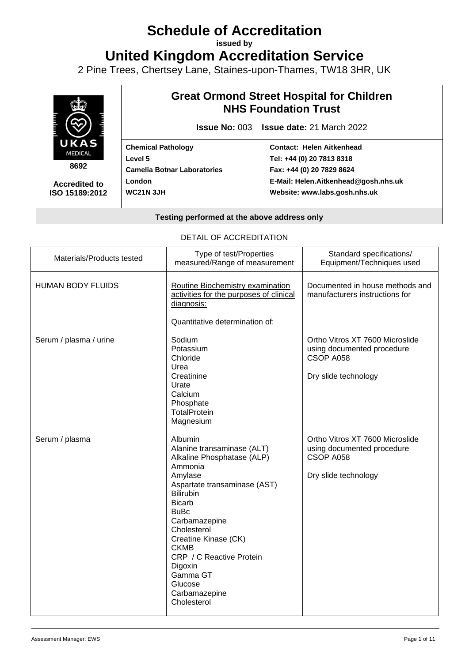# **Schedule of Accreditation**

**issued by**

**United Kingdom Accreditation Service**

2 Pine Trees, Chertsey Lane, Staines-upon-Thames, TW18 3HR, UK



**Accredited to ISO 15189:2012**

# **Great Ormond Street Hospital for Children NHS Foundation Trust**

**Issue No:** 003 **Issue date:** 21 March 2022

**Chemical Pathology Level 5 Camelia Botnar Laboratories London WC21N 3JH**

# **Contact: Helen Aitkenhead Tel: +44 (0) 20 7813 8318 Fax: +44 (0) 20 7829 8624 E-Mail: Helen.Aitkenhead@gosh.nhs.uk Website: www.labs.gosh.nhs.uk**

**Testing performed at the above address only**

#### DETAIL OF ACCREDITATION

| Materials/Products tested | Type of test/Properties<br>measured/Range of measurement                                                                                                                                                                                                                                                                                           | Standard specifications/<br>Equipment/Techniques used                                              |
|---------------------------|----------------------------------------------------------------------------------------------------------------------------------------------------------------------------------------------------------------------------------------------------------------------------------------------------------------------------------------------------|----------------------------------------------------------------------------------------------------|
| <b>HUMAN BODY FLUIDS</b>  | Routine Biochemistry examination<br>activities for the purposes of clinical<br>diagnosis:                                                                                                                                                                                                                                                          | Documented in house methods and<br>manufacturers instructions for                                  |
| Serum / plasma / urine    | Quantitative determination of:<br>Sodium<br>Potassium<br>Chloride<br>Urea<br>Creatinine<br>Urate<br>Calcium<br>Phosphate<br>TotalProtein<br>Magnesium                                                                                                                                                                                              | Ortho Vitros XT 7600 Microslide<br>using documented procedure<br>CSOP A058<br>Dry slide technology |
| Serum / plasma            | Albumin<br>Alanine transaminase (ALT)<br>Alkaline Phosphatase (ALP)<br>Ammonia<br>Amylase<br>Aspartate transaminase (AST)<br><b>Bilirubin</b><br><b>Bicarb</b><br><b>BuBc</b><br>Carbamazepine<br>Cholesterol<br>Creatine Kinase (CK)<br><b>CKMB</b><br>CRP / C Reactive Protein<br>Digoxin<br>Gamma GT<br>Glucose<br>Carbamazepine<br>Cholesterol | Ortho Vitros XT 7600 Microslide<br>using documented procedure<br>CSOP A058<br>Dry slide technology |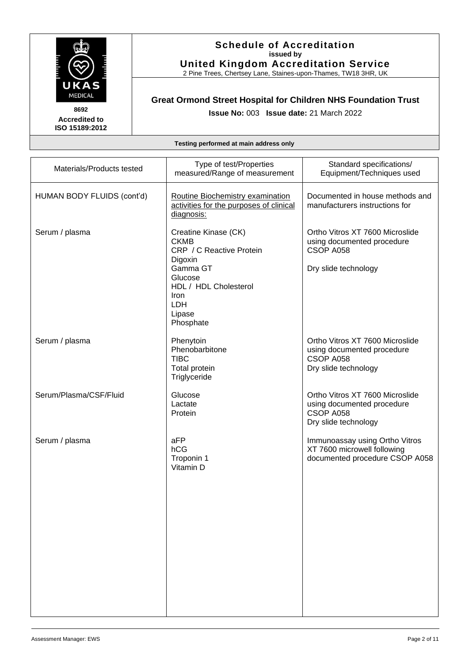

2 Pine Trees, Chertsey Lane, Staines-upon-Thames, TW18 3HR, UK

# **Great Ormond Street Hospital for Children NHS Foundation Trust**

**Issue No:** 003 **Issue date:** 21 March 2022

**Accredited to ISO 15189:2012** 

| Testing performed at main address only |  |  |  |  |
|----------------------------------------|--|--|--|--|
|----------------------------------------|--|--|--|--|

| Materials/Products tested  | Type of test/Properties<br>measured/Range of measurement                                                                                                                | Standard specifications/<br>Equipment/Techniques used                                              |
|----------------------------|-------------------------------------------------------------------------------------------------------------------------------------------------------------------------|----------------------------------------------------------------------------------------------------|
| HUMAN BODY FLUIDS (cont'd) | Routine Biochemistry examination<br>activities for the purposes of clinical<br>diagnosis:                                                                               | Documented in house methods and<br>manufacturers instructions for                                  |
| Serum / plasma             | Creatine Kinase (CK)<br><b>CKMB</b><br>CRP / C Reactive Protein<br>Digoxin<br>Gamma GT<br>Glucose<br>HDL / HDL Cholesterol<br><b>Iron</b><br>LDH<br>Lipase<br>Phosphate | Ortho Vitros XT 7600 Microslide<br>using documented procedure<br>CSOP A058<br>Dry slide technology |
| Serum / plasma             | Phenytoin<br>Phenobarbitone<br><b>TIBC</b><br>Total protein<br>Triglyceride                                                                                             | Ortho Vitros XT 7600 Microslide<br>using documented procedure<br>CSOP A058<br>Dry slide technology |
| Serum/Plasma/CSF/Fluid     | Glucose<br>Lactate<br>Protein                                                                                                                                           | Ortho Vitros XT 7600 Microslide<br>using documented procedure<br>CSOP A058<br>Dry slide technology |
| Serum / plasma             | aFP<br>hCG<br>Troponin 1<br>Vitamin D                                                                                                                                   | Immunoassay using Ortho Vitros<br>XT 7600 microwell following<br>documented procedure CSOP A058    |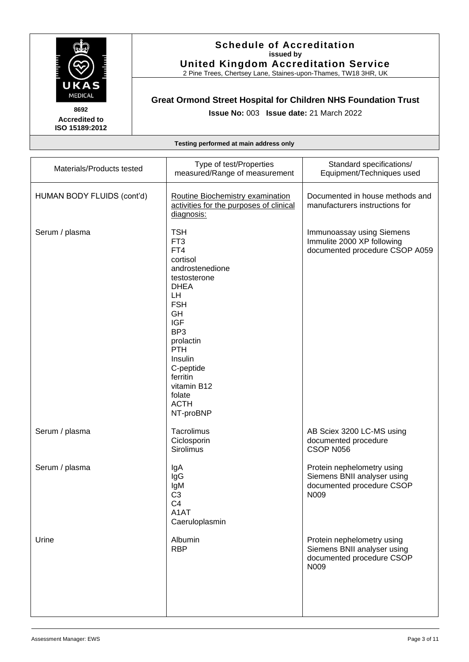

2 Pine Trees, Chertsey Lane, Staines-upon-Thames, TW18 3HR, UK

# **Great Ormond Street Hospital for Children NHS Foundation Trust**

**Issue No:** 003 **Issue date:** 21 March 2022

**Accredited to ISO 15189:2012** 

| Materials/Products tested  | Type of test/Properties<br>measured/Range of measurement                                                                                                                                                                                                                                 | Standard specifications/<br>Equipment/Techniques used                                          |
|----------------------------|------------------------------------------------------------------------------------------------------------------------------------------------------------------------------------------------------------------------------------------------------------------------------------------|------------------------------------------------------------------------------------------------|
| HUMAN BODY FLUIDS (cont'd) | Routine Biochemistry examination<br>activities for the purposes of clinical<br>diagnosis:                                                                                                                                                                                                | Documented in house methods and<br>manufacturers instructions for                              |
| Serum / plasma             | <b>TSH</b><br>FT <sub>3</sub><br>FT4<br>cortisol<br>androstenedione<br>testosterone<br><b>DHEA</b><br><b>LH</b><br><b>FSH</b><br>GH<br><b>IGF</b><br>BP <sub>3</sub><br>prolactin<br><b>PTH</b><br>Insulin<br>C-peptide<br>ferritin<br>vitamin B12<br>folate<br><b>ACTH</b><br>NT-proBNP | Immunoassay using Siemens<br>Immulite 2000 XP following<br>documented procedure CSOP A059      |
| Serum / plasma             | Tacrolimus<br>Ciclosporin<br><b>Sirolimus</b>                                                                                                                                                                                                                                            | AB Sciex 3200 LC-MS using<br>documented procedure<br>CSOP N056                                 |
| Serum / plasma             | lgA<br>IgG<br>lgM<br>C <sub>3</sub><br>C <sub>4</sub><br>A <sub>1</sub> AT<br>Caeruloplasmin                                                                                                                                                                                             | Protein nephelometry using<br>Siemens BNII analyser using<br>documented procedure CSOP<br>N009 |
| Urine                      | Albumin<br><b>RBP</b>                                                                                                                                                                                                                                                                    | Protein nephelometry using<br>Siemens BNII analyser using<br>documented procedure CSOP<br>N009 |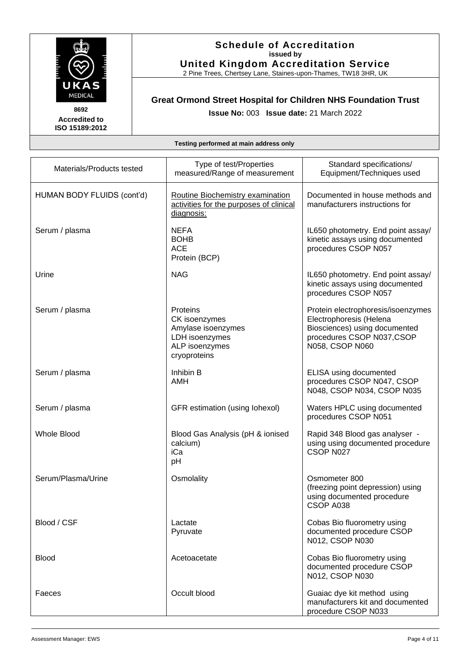

### **Schedule of Accreditation issued by United Kingdom Accreditation Service**

2 Pine Trees, Chertsey Lane, Staines-upon-Thames, TW18 3HR, UK

# **Great Ormond Street Hospital for Children NHS Foundation Trust**

**Issue No:** 003 **Issue date:** 21 March 2022

| Testing performed at main address only |                                                                                                     |                                                                                                                                                |
|----------------------------------------|-----------------------------------------------------------------------------------------------------|------------------------------------------------------------------------------------------------------------------------------------------------|
| Materials/Products tested              | Type of test/Properties<br>measured/Range of measurement                                            | Standard specifications/<br>Equipment/Techniques used                                                                                          |
| HUMAN BODY FLUIDS (cont'd)             | Routine Biochemistry examination<br>activities for the purposes of clinical<br>diagnosis:           | Documented in house methods and<br>manufacturers instructions for                                                                              |
| Serum / plasma                         | <b>NEFA</b><br><b>BOHB</b><br><b>ACE</b><br>Protein (BCP)                                           | IL650 photometry. End point assay/<br>kinetic assays using documented<br>procedures CSOP N057                                                  |
| Urine                                  | <b>NAG</b>                                                                                          | IL650 photometry. End point assay/<br>kinetic assays using documented<br>procedures CSOP N057                                                  |
| Serum / plasma                         | Proteins<br>CK isoenzymes<br>Amylase isoenzymes<br>LDH isoenzymes<br>ALP isoenzymes<br>cryoproteins | Protein electrophoresis/isoenzymes<br>Electrophoresis (Helena<br>Biosciences) using documented<br>procedures CSOP N037,CSOP<br>N058, CSOP N060 |
| Serum / plasma                         | Inhibin B<br>AMH                                                                                    | ELISA using documented<br>procedures CSOP N047, CSOP<br>N048, CSOP N034, CSOP N035                                                             |
| Serum / plasma                         | GFR estimation (using lohexol)                                                                      | Waters HPLC using documented<br>procedures CSOP N051                                                                                           |
| <b>Whole Blood</b>                     | Blood Gas Analysis (pH & ionised<br>calcium)<br>iCa<br>pH                                           | Rapid 348 Blood gas analyser -<br>using using documented procedure<br>CSOP N027                                                                |
| Serum/Plasma/Urine                     | Osmolality                                                                                          | Osmometer 800<br>(freezing point depression) using<br>using documented procedure<br>CSOP A038                                                  |
| Blood / CSF                            | Lactate<br>Pyruvate                                                                                 | Cobas Bio fluorometry using<br>documented procedure CSOP<br>N012, CSOP N030                                                                    |
| <b>Blood</b>                           | Acetoacetate                                                                                        | Cobas Bio fluorometry using<br>documented procedure CSOP<br>N012, CSOP N030                                                                    |
| Faeces                                 | Occult blood                                                                                        | Guaiac dye kit method using<br>manufacturers kit and documented                                                                                |

procedure CSOP N033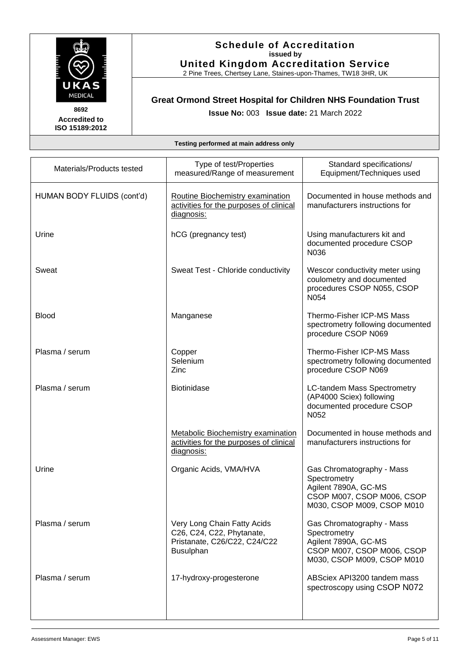

2 Pine Trees, Chertsey Lane, Staines-upon-Thames, TW18 3HR, UK

# **Great Ormond Street Hospital for Children NHS Foundation Trust**

**Accredited to ISO 15189:2012**  **Issue No:** 003 **Issue date:** 21 March 2022

| Materials/Products tested  | Type of test/Properties<br>measured/Range of measurement                                                     | Standard specifications/<br>Equipment/Techniques used                                                                         |
|----------------------------|--------------------------------------------------------------------------------------------------------------|-------------------------------------------------------------------------------------------------------------------------------|
| HUMAN BODY FLUIDS (cont'd) | Routine Biochemistry examination<br>activities for the purposes of clinical<br>diagnosis:                    | Documented in house methods and<br>manufacturers instructions for                                                             |
| Urine                      | hCG (pregnancy test)                                                                                         | Using manufacturers kit and<br>documented procedure CSOP<br>N036                                                              |
| Sweat                      | Sweat Test - Chloride conductivity                                                                           | Wescor conductivity meter using<br>coulometry and documented<br>procedures CSOP N055, CSOP<br>N054                            |
| <b>Blood</b>               | Manganese                                                                                                    | Thermo-Fisher ICP-MS Mass<br>spectrometry following documented<br>procedure CSOP N069                                         |
| Plasma / serum             | Copper<br>Selenium<br>Zinc                                                                                   | Thermo-Fisher ICP-MS Mass<br>spectrometry following documented<br>procedure CSOP N069                                         |
| Plasma / serum             | <b>Biotinidase</b>                                                                                           | LC-tandem Mass Spectrometry<br>(AP4000 Sciex) following<br>documented procedure CSOP<br>N052                                  |
|                            | Metabolic Biochemistry examination<br>activities for the purposes of clinical<br>diagnosis:                  | Documented in house methods and<br>manufacturers instructions for                                                             |
| Urine                      | Organic Acids, VMA/HVA                                                                                       | Gas Chromatography - Mass<br>Spectrometry<br>Agilent 7890A, GC-MS<br>CSOP M007, CSOP M006, CSOP<br>M030, CSOP M009, CSOP M010 |
| Plasma / serum             | Very Long Chain Fatty Acids<br>C26, C24, C22, Phytanate,<br>Pristanate, C26/C22, C24/C22<br><b>Busulphan</b> | Gas Chromatography - Mass<br>Spectrometry<br>Agilent 7890A, GC-MS<br>CSOP M007, CSOP M006, CSOP<br>M030, CSOP M009, CSOP M010 |
| Plasma / serum             | 17-hydroxy-progesterone                                                                                      | ABSciex API3200 tandem mass<br>spectroscopy using CSOP N072                                                                   |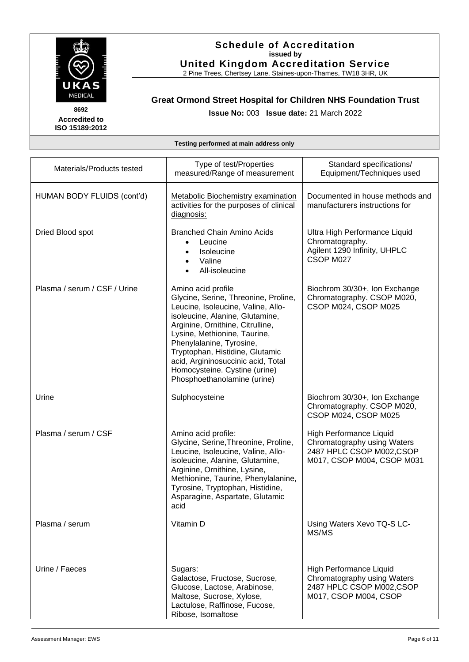

2 Pine Trees, Chertsey Lane, Staines-upon-Thames, TW18 3HR, UK

# **Great Ormond Street Hospital for Children NHS Foundation Trust**

**Issue No:** 003 **Issue date:** 21 March 2022

**Accredited to ISO 15189:2012** 

| Materials/Products tested    | Type of test/Properties<br>measured/Range of measurement                                                                                                                                                                                                                                                                                                                     | Standard specifications/<br>Equipment/Techniques used                                                            |
|------------------------------|------------------------------------------------------------------------------------------------------------------------------------------------------------------------------------------------------------------------------------------------------------------------------------------------------------------------------------------------------------------------------|------------------------------------------------------------------------------------------------------------------|
| HUMAN BODY FLUIDS (cont'd)   | <b>Metabolic Biochemistry examination</b><br>activities for the purposes of clinical<br>diagnosis:                                                                                                                                                                                                                                                                           | Documented in house methods and<br>manufacturers instructions for                                                |
| Dried Blood spot             | <b>Branched Chain Amino Acids</b><br>Leucine<br>Isoleucine<br>Valine<br>All-isoleucine                                                                                                                                                                                                                                                                                       | Ultra High Performance Liquid<br>Chromatography.<br>Agilent 1290 Infinity, UHPLC<br>CSOP M027                    |
| Plasma / serum / CSF / Urine | Amino acid profile<br>Glycine, Serine, Threonine, Proline,<br>Leucine, Isoleucine, Valine, Allo-<br>isoleucine, Alanine, Glutamine,<br>Arginine, Ornithine, Citrulline,<br>Lysine, Methionine, Taurine,<br>Phenylalanine, Tyrosine,<br>Tryptophan, Histidine, Glutamic<br>acid, Argininosuccinic acid, Total<br>Homocysteine. Cystine (urine)<br>Phosphoethanolamine (urine) | Biochrom 30/30+, Ion Exchange<br>Chromatography. CSOP M020,<br>CSOP M024, CSOP M025                              |
| Urine                        | Sulphocysteine                                                                                                                                                                                                                                                                                                                                                               | Biochrom 30/30+, Ion Exchange<br>Chromatography. CSOP M020,<br>CSOP M024, CSOP M025                              |
| Plasma / serum / CSF         | Amino acid profile:<br>Glycine, Serine, Threonine, Proline,<br>Leucine, Isoleucine, Valine, Allo-<br>isoleucine, Alanine, Glutamine,<br>Arginine, Ornithine, Lysine,<br>Methionine, Taurine, Phenylalanine,<br>Tyrosine, Tryptophan, Histidine,<br>Asparagine, Aspartate, Glutamic<br>acid                                                                                   | High Performance Liquid<br>Chromatography using Waters<br>2487 HPLC CSOP M002,CSOP<br>M017, CSOP M004, CSOP M031 |
| Plasma / serum               | Vitamin D                                                                                                                                                                                                                                                                                                                                                                    | Using Waters Xevo TQ-S LC-<br>MS/MS                                                                              |
| Urine / Faeces               | Sugars:<br>Galactose, Fructose, Sucrose,<br>Glucose, Lactose, Arabinose,<br>Maltose, Sucrose, Xylose,<br>Lactulose, Raffinose, Fucose,<br>Ribose, Isomaltose                                                                                                                                                                                                                 | High Performance Liquid<br>Chromatography using Waters<br>2487 HPLC CSOP M002,CSOP<br>M017, CSOP M004, CSOP      |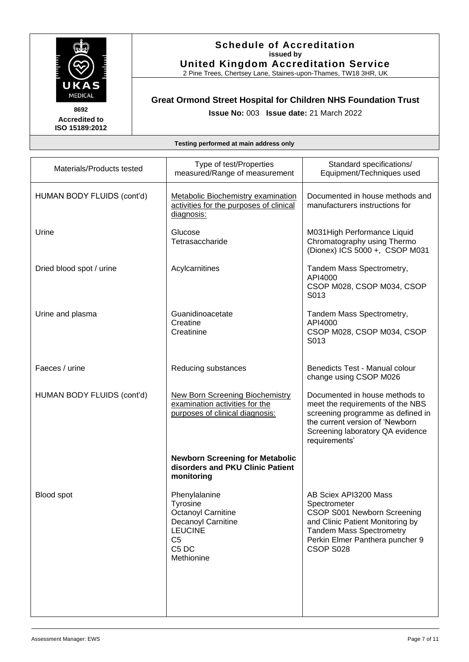

2 Pine Trees, Chertsey Lane, Staines-upon-Thames, TW18 3HR, UK

# **Great Ormond Street Hospital for Children NHS Foundation Trust**

**Issue No:** 003 **Issue date:** 21 March 2022

**Accredited to ISO 15189:2012** 

| Materials/Products tested  | Type of test/Properties<br>measured/Range of measurement                                                                                            | Standard specifications/<br>Equipment/Techniques used                                                                                                                                           |
|----------------------------|-----------------------------------------------------------------------------------------------------------------------------------------------------|-------------------------------------------------------------------------------------------------------------------------------------------------------------------------------------------------|
| HUMAN BODY FLUIDS (cont'd) | <b>Metabolic Biochemistry examination</b><br>activities for the purposes of clinical<br>diagnosis:                                                  | Documented in house methods and<br>manufacturers instructions for                                                                                                                               |
| Urine                      | Glucose<br>Tetrasaccharide                                                                                                                          | M031 High Performance Liquid<br>Chromatography using Thermo<br>(Dionex) ICS 5000 +, CSOP M031                                                                                                   |
| Dried blood spot / urine   | Acylcarnitines                                                                                                                                      | Tandem Mass Spectrometry,<br>API4000<br>CSOP M028, CSOP M034, CSOP<br>S013                                                                                                                      |
| Urine and plasma           | Guanidinoacetate<br>Creatine<br>Creatinine                                                                                                          | Tandem Mass Spectrometry,<br>API4000<br>CSOP M028, CSOP M034, CSOP<br>S013                                                                                                                      |
| Faeces / urine             | Reducing substances                                                                                                                                 | Benedicts Test - Manual colour<br>change using CSOP M026                                                                                                                                        |
| HUMAN BODY FLUIDS (cont'd) | <b>New Born Screening Biochemistry</b><br>examination activities for the<br>purposes of clinical diagnosis:                                         | Documented in house methods to<br>meet the requirements of the NBS<br>screening programme as defined in<br>the current version of 'Newborn<br>Screening laboratory QA evidence<br>requirements' |
|                            | <b>Newborn Screening for Metabolic</b><br>disorders and PKU Clinic Patient<br>monitoring                                                            |                                                                                                                                                                                                 |
| Blood spot                 | Phenylalanine<br><b>Tyrosine</b><br>Octanoyl Carnitine<br>Decanoyl Carnitine<br><b>LEUCINE</b><br>C <sub>5</sub><br>C <sub>5</sub> DC<br>Methionine | AB Sciex API3200 Mass<br>Spectrometer<br>CSOP S001 Newborn Screening<br>and Clinic Patient Monitoring by<br><b>Tandem Mass Spectrometry</b><br>Perkin Elmer Panthera puncher 9<br>CSOP S028     |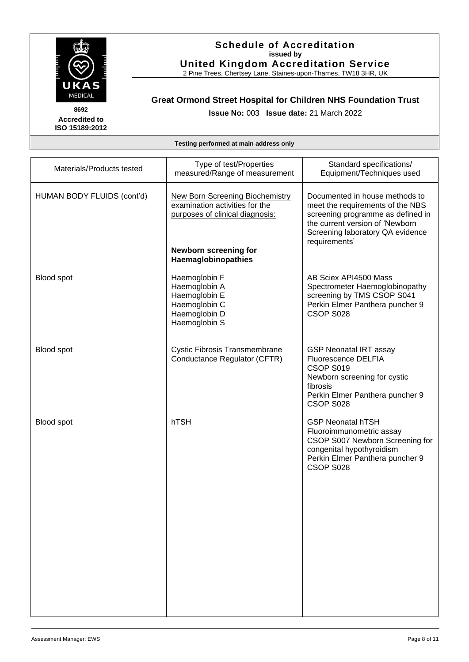

### **Schedule of Accreditation issued by United Kingdom Accreditation Service**

2 Pine Trees, Chertsey Lane, Staines-upon-Thames, TW18 3HR, UK

# **Great Ormond Street Hospital for Children NHS Foundation Trust**

**Issue No:** 003 **Issue date:** 21 March 2022

| Materials/Products tested  | Type of test/Properties<br>measured/Range of measurement                                                                             | Standard specifications/<br>Equipment/Techniques used                                                                                                                                           |
|----------------------------|--------------------------------------------------------------------------------------------------------------------------------------|-------------------------------------------------------------------------------------------------------------------------------------------------------------------------------------------------|
| HUMAN BODY FLUIDS (cont'd) | <b>New Born Screening Biochemistry</b><br>examination activities for the<br>purposes of clinical diagnosis:<br>Newborn screening for | Documented in house methods to<br>meet the requirements of the NBS<br>screening programme as defined in<br>the current version of 'Newborn<br>Screening laboratory QA evidence<br>requirements' |
|                            | Haemaglobinopathies                                                                                                                  |                                                                                                                                                                                                 |
| Blood spot                 | Haemoglobin F<br>Haemoglobin A<br>Haemoglobin E<br>Haemoglobin C<br>Haemoglobin D<br>Haemoglobin S                                   | AB Sciex API4500 Mass<br>Spectrometer Haemoglobinopathy<br>screening by TMS CSOP S041<br>Perkin Elmer Panthera puncher 9<br>CSOP S028                                                           |
| Blood spot                 | <b>Cystic Fibrosis Transmembrane</b><br>Conductance Regulator (CFTR)                                                                 | <b>GSP Neonatal IRT assay</b><br><b>Fluorescence DELFIA</b><br>CSOP S019<br>Newborn screening for cystic<br>fibrosis<br>Perkin Elmer Panthera puncher 9<br>CSOP S028                            |
| Blood spot                 | hTSH                                                                                                                                 | <b>GSP Neonatal hTSH</b><br>Fluoroimmunometric assay<br>CSOP S007 Newborn Screening for<br>congenital hypothyroidism<br>Perkin Elmer Panthera puncher 9<br>CSOP S028                            |
|                            |                                                                                                                                      |                                                                                                                                                                                                 |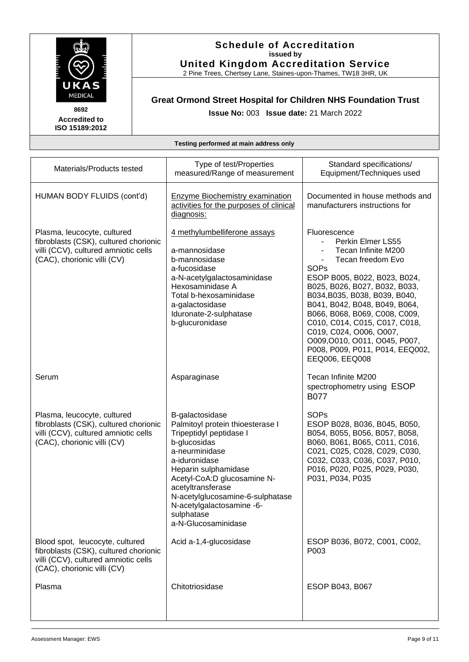

### **Schedule of Accreditation issued by United Kingdom Accreditation Service**

2 Pine Trees, Chertsey Lane, Staines-upon-Thames, TW18 3HR, UK

# **Great Ormond Street Hospital for Children NHS Foundation Trust**

**Issue No:** 003 **Issue date:** 21 March 2022

| Materials/Products tested                                                                                                                       | Type of test/Properties<br>measured/Range of measurement                                                                                                                                                                                                                                                            | Standard specifications/<br>Equipment/Techniques used                                                                                                                                                                                                                                                                                                                                                              |
|-------------------------------------------------------------------------------------------------------------------------------------------------|---------------------------------------------------------------------------------------------------------------------------------------------------------------------------------------------------------------------------------------------------------------------------------------------------------------------|--------------------------------------------------------------------------------------------------------------------------------------------------------------------------------------------------------------------------------------------------------------------------------------------------------------------------------------------------------------------------------------------------------------------|
| HUMAN BODY FLUIDS (cont'd)                                                                                                                      | <b>Enzyme Biochemistry examination</b><br>activities for the purposes of clinical<br>diagnosis:                                                                                                                                                                                                                     | Documented in house methods and<br>manufacturers instructions for                                                                                                                                                                                                                                                                                                                                                  |
| Plasma, leucocyte, cultured<br>fibroblasts (CSK), cultured chorionic<br>villi (CCV), cultured amniotic cells<br>(CAC), chorionic villi (CV)     | 4 methylumbelliferone assays<br>a-mannosidase<br>b-mannosidase<br>a-fucosidase<br>a-N-acetylgalactosaminidase<br>Hexosaminidase A<br>Total b-hexosaminidase<br>a-galactosidase<br>Iduronate-2-sulphatase<br>b-glucuronidase                                                                                         | Fluorescence<br>Perkin Elmer LS55<br>Tecan Infinite M200<br>Tecan freedom Evo<br><b>SOPs</b><br>ESOP B005, B022, B023, B024,<br>B025, B026, B027, B032, B033,<br>B034, B035, B038, B039, B040,<br>B041, B042, B048, B049, B064,<br>B066, B068, B069, C008, C009,<br>C010, C014, C015, C017, C018,<br>C019, C024, O006, O007,<br>O009, O010, O011, O045, P007,<br>P008, P009, P011, P014, EEQ002,<br>EEQ006, EEQ008 |
| Serum                                                                                                                                           | Asparaginase                                                                                                                                                                                                                                                                                                        | Tecan Infinite M200<br>spectrophometry using ESOP<br><b>B077</b>                                                                                                                                                                                                                                                                                                                                                   |
| Plasma, leucocyte, cultured<br>fibroblasts (CSK), cultured chorionic<br>villi (CCV), cultured amniotic cells<br>(CAC), chorionic villi (CV)     | B-galactosidase<br>Palmitoyl protein thioesterase I<br>Tripeptidyl peptidase I<br>b-glucosidas<br>a-neurminidase<br>a-iduronidase<br>Heparin sulphamidase<br>Acetyl-CoA:D glucosamine N-<br>acetyltransferase<br>N-acetylglucosamine-6-sulphatase<br>N-acetylgalactosamine -6-<br>sulphatase<br>a-N-Glucosaminidase | <b>SOPs</b><br>ESOP B028, B036, B045, B050,<br>B054, B055, B056, B057, B058,<br>B060, B061, B065, C011, C016,<br>C021, C025, C028, C029, C030,<br>C032, C033, C036, C037, P010,<br>P016, P020, P025, P029, P030,<br>P031, P034, P035                                                                                                                                                                               |
| Blood spot, leucocyte, cultured<br>fibroblasts (CSK), cultured chorionic<br>villi (CCV), cultured amniotic cells<br>(CAC), chorionic villi (CV) | Acid a-1,4-glucosidase                                                                                                                                                                                                                                                                                              | ESOP B036, B072, C001, C002,<br>P003                                                                                                                                                                                                                                                                                                                                                                               |
| Plasma                                                                                                                                          | Chitotriosidase                                                                                                                                                                                                                                                                                                     | ESOP B043, B067                                                                                                                                                                                                                                                                                                                                                                                                    |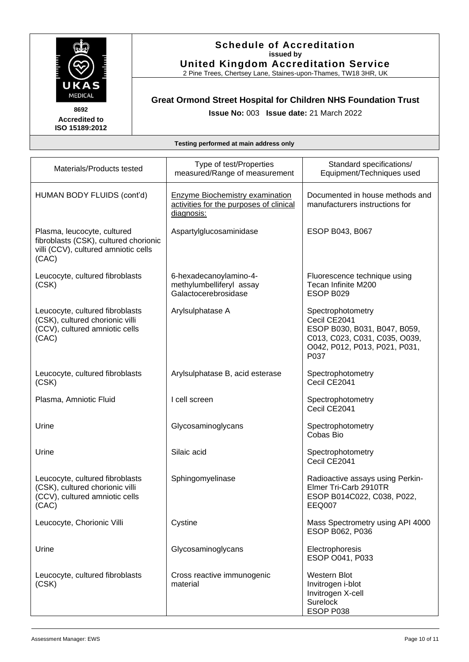

### **Schedule of Accreditation issued by United Kingdom Accreditation Service**

2 Pine Trees, Chertsey Lane, Staines-upon-Thames, TW18 3HR, UK

# **Great Ormond Street Hospital for Children NHS Foundation Trust**

**Issue No:** 003 **Issue date:** 21 March 2022

| Materials/Products tested                                                                                             | Type of test/Properties<br>measured/Range of measurement                                        | Standard specifications/<br>Equipment/Techniques used                                                                                       |
|-----------------------------------------------------------------------------------------------------------------------|-------------------------------------------------------------------------------------------------|---------------------------------------------------------------------------------------------------------------------------------------------|
| HUMAN BODY FLUIDS (cont'd)                                                                                            | <b>Enzyme Biochemistry examination</b><br>activities for the purposes of clinical<br>diagnosis: | Documented in house methods and<br>manufacturers instructions for                                                                           |
| Plasma, leucocyte, cultured<br>fibroblasts (CSK), cultured chorionic<br>villi (CCV), cultured amniotic cells<br>(CAC) | Aspartylglucosaminidase                                                                         | ESOP B043, B067                                                                                                                             |
| Leucocyte, cultured fibroblasts<br>(CSK)                                                                              | 6-hexadecanoylamino-4-<br>methylumbelliferyl assay<br>Galactocerebrosidase                      | Fluorescence technique using<br>Tecan Infinite M200<br>ESOP B029                                                                            |
| Leucocyte, cultured fibroblasts<br>(CSK), cultured chorionic villi<br>(CCV), cultured amniotic cells<br>(CAC)         | Arylsulphatase A                                                                                | Spectrophotometry<br>Cecil CE2041<br>ESOP B030, B031, B047, B059,<br>C013, C023, C031, C035, O039,<br>O042, P012, P013, P021, P031,<br>P037 |
| Leucocyte, cultured fibroblasts<br>(CSK)                                                                              | Arylsulphatase B, acid esterase                                                                 | Spectrophotometry<br>Cecil CE2041                                                                                                           |
| Plasma, Amniotic Fluid                                                                                                | I cell screen                                                                                   | Spectrophotometry<br>Cecil CE2041                                                                                                           |
| Urine                                                                                                                 | Glycosaminoglycans                                                                              | Spectrophotometry<br>Cobas Bio                                                                                                              |
| Urine                                                                                                                 | Silaic acid                                                                                     | Spectrophotometry<br>Cecil CE2041                                                                                                           |
| Leucocyte, cultured fibroblasts<br>(CSK), cultured chorionic villi<br>(CCV), cultured amniotic cells<br>(CAC)         | Sphingomyelinase                                                                                | Radioactive assays using Perkin-<br>Elmer Tri-Carb 2910TR<br>ESOP B014C022, C038, P022,<br>EEQ007                                           |
| Leucocyte, Chorionic Villi                                                                                            | Cystine                                                                                         | Mass Spectrometry using API 4000<br>ESOP B062, P036                                                                                         |
| Urine                                                                                                                 | Glycosaminoglycans                                                                              | Electrophoresis<br>ESOP 0041, P033                                                                                                          |
| Leucocyte, cultured fibroblasts<br>(CSK)                                                                              | Cross reactive immunogenic<br>material                                                          | <b>Western Blot</b><br>Invitrogen i-blot<br>Invitrogen X-cell<br><b>Surelock</b><br>ESOP P038                                               |